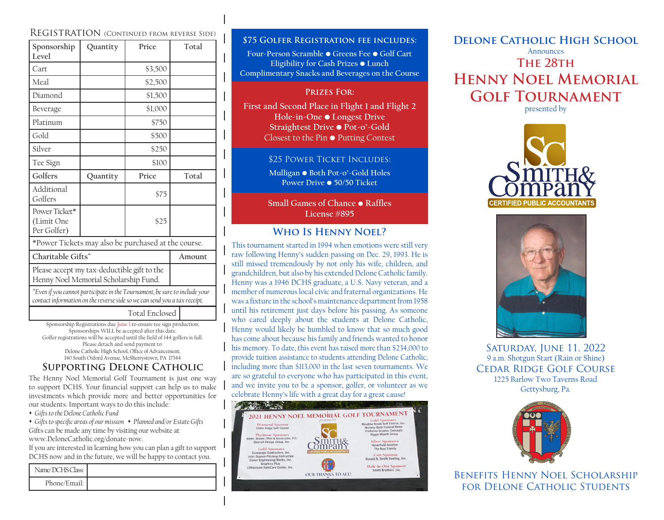## Registration (Continued from reverse Side)

| Sponsorship<br>Level                                                                                                                                    | Quantity | Price   | Total |  |  |
|---------------------------------------------------------------------------------------------------------------------------------------------------------|----------|---------|-------|--|--|
| Cart                                                                                                                                                    |          | \$3,500 |       |  |  |
| Meal                                                                                                                                                    |          | \$2,500 |       |  |  |
| Diamond                                                                                                                                                 |          | \$1,500 |       |  |  |
| Beverage                                                                                                                                                |          | \$1,000 |       |  |  |
| Platinum                                                                                                                                                |          | \$750   |       |  |  |
| Gold                                                                                                                                                    |          | \$500   |       |  |  |
| Silver                                                                                                                                                  |          | \$250   |       |  |  |
| Tee Sign                                                                                                                                                |          | \$100   |       |  |  |
| Golfers                                                                                                                                                 | Quantity | Price   | Total |  |  |
| Additional<br>Golfers                                                                                                                                   |          | \$75    |       |  |  |
| Power Ticket*<br>(Limit One<br>Per Golfer)                                                                                                              |          | \$25    |       |  |  |
| *Power Tickets may also be purchased at the course.                                                                                                     |          |         |       |  |  |
| Charitable Gifts^                                                                                                                                       | Amount   |         |       |  |  |
| Please accept my tax-deductible gift to the<br>Henny Noel Memorial Scholarship Fund.                                                                    |          |         |       |  |  |
| "Even if you cannot participate in the Tournament, be sure to include your<br>contact information on the reverse side so we can send you a tax receipt. |          |         |       |  |  |
| <b>Total Enclosed</b>                                                                                                                                   |          |         |       |  |  |

Sponsorship Registrations due June 1 to ensure tee sign production; Sponsorships WILL be accepted after this date. Golfer registrations will be accepted until the field of 144 golfers is full. Please detach and send payment to: Delone Catholic High School, Office of Advancement, 140 South Oxford Avenue, McSherrystown, PA 17344

# **Supporting Delone Catholic**

The Henny Noel Memorial Golf Tournament is just one way to support DCHS. Your financial support can help us to make investments which provide more and better opportunities for our students. Important ways to do this include:

s *Gifts to the Delone Catholic Fund* 

• Gifts to specific areas of our mission • Planned and/or Estate Gifts Gifts can be made any time by visiting our website at www.DeloneCatholic.org/donate-now.

If you are interested in learning how you can plan a gift to support DCHS now and in the future, we will be happy to contact you.

| Name/DCHS Class: |  |
|------------------|--|
| Phone/Email: I   |  |

#### **\$75 Golfer Registration fee includes:**

**Four-Person Scramble • Greens Fee • Golf Cart Eligibility for Cash Prizes • Lunch Complimentary Snacks and Beverages on the Course**

#### **Prizes For:**

**First and Second Place in Flight 1 and Flight 2 Hole-in-One • Longest Drive Straightest Drive • Pot-o'-Gold**  Closest to the Pin **•** Putting Contest

#### \$25 POWER TICKET INCLUDES:

**Mulligan • Both Pot-o'-Gold Holes Power Drive • 50/50 Ticket**

**Small Games of Chance • Raffles License #895**

# **Who Is Henny Noel?**

This tournament started in 1994 when emotions were still very raw following Henny's sudden passing on Dec. 29, 1993. He is still missed tremendously by not only his wife, children, and grandchildren, but also by his extended Delone Catholic family. Henny was a 1946 DCHS graduate, a U.S. Navy veteran, and a member of numerous local civic and fraternal organizations. He was a fixture in the school's maintenance department from 1958 until his retirement just days before his passing. As someone who cared deeply about the students at Delone Catholic, Henny would likely be humbled to know that so much good has come about because his family and friends wanted to honor his memory. To date, this event has raised more than \$234,000 to provide tuition assistance to students attending Delone Catholic, including more than \$113,000 in the last seven tournaments. We are so grateful to everyone who has participated in this event, and we invite you to be a sponsor, golfer, or volunteer as we celebrate Henny's life with a great day for a great cause!



# **Delone Catholic High School** Announces **The 28th Henny Noel Memorial Golf Tournament** presented by





Saturday, June 11, 2022 9 a.m. Shotgun Start (Rain or Shine) Cedar Ridge Golf Course 1225 Barlow Two Taverns Road Gettysburg, Pa.



Benefits Henny Noel Scholarship for Delone Catholic Students